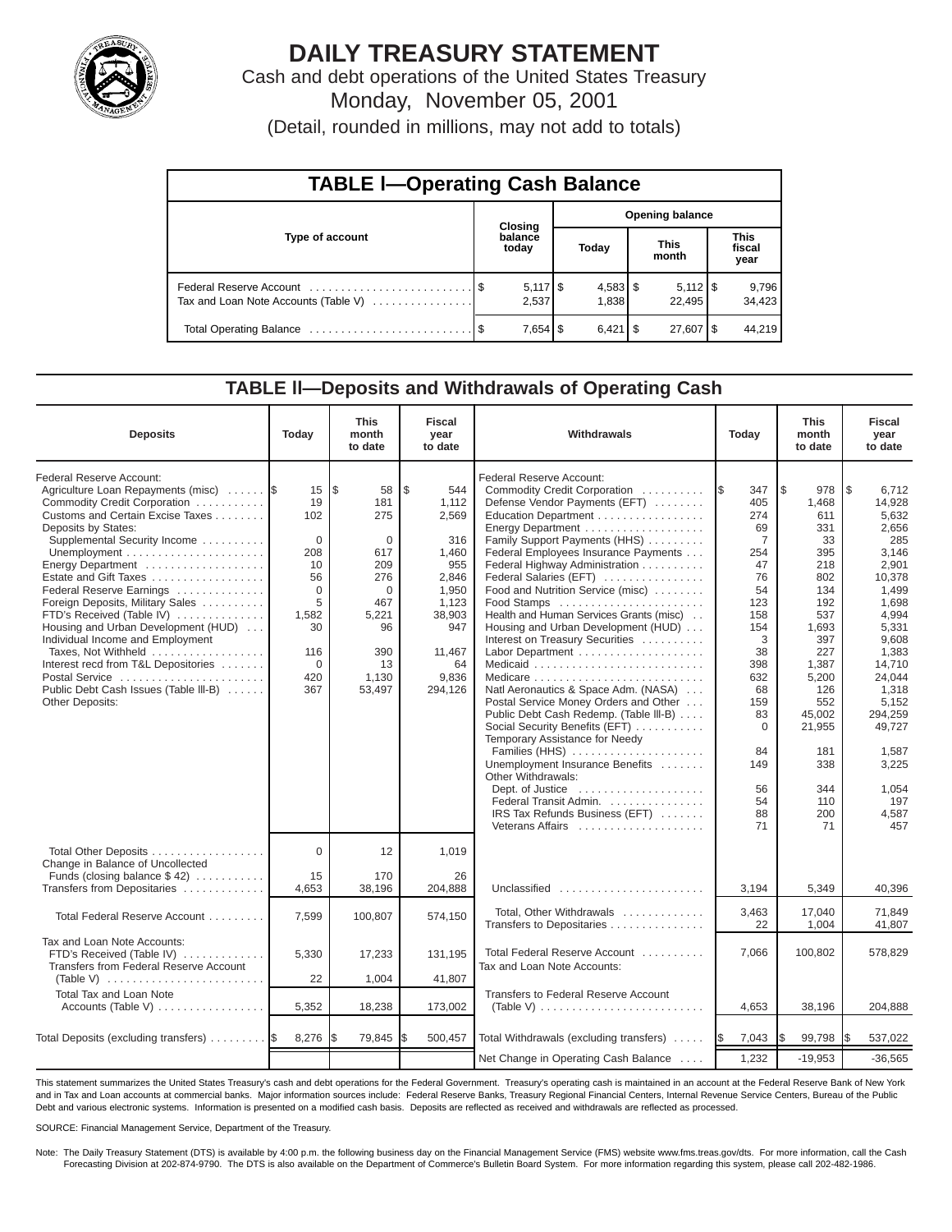

# **DAILY TREASURY STATEMENT**

Cash and debt operations of the United States Treasury Monday, November 05, 2001

(Detail, rounded in millions, may not add to totals)

| <b>TABLE I-Operating Cash Balance</b> |  |                  |                        |                     |  |                                 |                               |                 |  |  |  |  |
|---------------------------------------|--|------------------|------------------------|---------------------|--|---------------------------------|-------------------------------|-----------------|--|--|--|--|
|                                       |  | <b>Closing</b>   | <b>Opening balance</b> |                     |  |                                 |                               |                 |  |  |  |  |
| Type of account                       |  | balance<br>today |                        | Today               |  | <b>This</b><br>month            | <b>This</b><br>fiscal<br>year |                 |  |  |  |  |
| Tax and Loan Note Accounts (Table V)  |  | 2,537            |                        | $4,583$ \$<br>1,838 |  | $5,112$ $\frac{1}{3}$<br>22.495 |                               | 9,796<br>34,423 |  |  |  |  |
|                                       |  |                  |                        | $6,421$ $\sqrt{5}$  |  | 27,607   \$                     |                               | 44,219          |  |  |  |  |

#### **TABLE ll—Deposits and Withdrawals of Operating Cash**

| <b>Deposits</b>                                                                                                                                                                                                                                                                                                                                                                                                                                                                                                                                             | Today                                                                                                                 | <b>This</b><br>month<br>to date                                                                                                                 | <b>Fiscal</b><br>year<br>to date                                                                                                   | Withdrawals                                                                                                                                                                                                                                                                                                                                                                                                                                                                                                                                                                                                                                                                                                                                                                                                                                                                                  |                                                                                                                                                                                   | <b>This</b><br>month<br>to date                                                                                                                                                                       | <b>Fiscal</b><br>year<br>to date                                                                                                                                                                                                                |
|-------------------------------------------------------------------------------------------------------------------------------------------------------------------------------------------------------------------------------------------------------------------------------------------------------------------------------------------------------------------------------------------------------------------------------------------------------------------------------------------------------------------------------------------------------------|-----------------------------------------------------------------------------------------------------------------------|-------------------------------------------------------------------------------------------------------------------------------------------------|------------------------------------------------------------------------------------------------------------------------------------|----------------------------------------------------------------------------------------------------------------------------------------------------------------------------------------------------------------------------------------------------------------------------------------------------------------------------------------------------------------------------------------------------------------------------------------------------------------------------------------------------------------------------------------------------------------------------------------------------------------------------------------------------------------------------------------------------------------------------------------------------------------------------------------------------------------------------------------------------------------------------------------------|-----------------------------------------------------------------------------------------------------------------------------------------------------------------------------------|-------------------------------------------------------------------------------------------------------------------------------------------------------------------------------------------------------|-------------------------------------------------------------------------------------------------------------------------------------------------------------------------------------------------------------------------------------------------|
| Federal Reserve Account:<br>Agriculture Loan Repayments (misc)<br>Commodity Credit Corporation<br>Customs and Certain Excise Taxes<br>Deposits by States:<br>Supplemental Security Income<br>Energy Department<br>Estate and Gift Taxes<br>Federal Reserve Earnings<br>Foreign Deposits, Military Sales<br>FTD's Received (Table IV)<br>Housing and Urban Development (HUD)<br>Individual Income and Employment<br>Taxes, Not Withheld<br>Interest recd from T&L Depositories<br>Postal Service<br>Public Debt Cash Issues (Table III-B)<br>Other Deposits: | 15<br>19<br>102<br>$\mathbf 0$<br>208<br>10<br>56<br>$\Omega$<br>5<br>1,582<br>30<br>116<br>$\mathbf 0$<br>420<br>367 | $\overline{\mathcal{S}}$<br>58<br>181<br>275<br>$\Omega$<br>617<br>209<br>276<br>$\Omega$<br>467<br>5,221<br>96<br>390<br>13<br>1,130<br>53,497 | \$<br>544<br>1,112<br>2,569<br>316<br>1,460<br>955<br>2,846<br>1,950<br>1,123<br>38,903<br>947<br>11,467<br>64<br>9,836<br>294,126 | Federal Reserve Account:<br>Commodity Credit Corporation<br>Defense Vendor Payments (EFT)<br>Education Department<br>Energy Department<br>Family Support Payments (HHS)<br>Federal Employees Insurance Payments<br>Federal Highway Administration<br>Federal Salaries (EFT)<br>Food and Nutrition Service (misc)<br>Food Stamps<br>Health and Human Services Grants (misc)<br>Housing and Urban Development (HUD)<br>Interest on Treasury Securities<br>Labor Department<br>Natl Aeronautics & Space Adm. (NASA)<br>Postal Service Money Orders and Other<br>Public Debt Cash Redemp. (Table III-B)<br>Social Security Benefits (EFT)<br>Temporary Assistance for Needy<br>Families (HHS)<br>Unemployment Insurance Benefits<br>Other Withdrawals:<br>Dept. of Justice $\dots\dots\dots\dots\dots\dots\dots$<br>Federal Transit Admin.<br>IRS Tax Refunds Business (EFT)<br>Veterans Affairs | 347<br>1\$<br>405<br>274<br>69<br>7<br>254<br>47<br>76<br>54<br>123<br>158<br>154<br>3<br>38<br>398<br>632<br>68<br>159<br>83<br>$\mathbf 0$<br>84<br>149<br>56<br>54<br>88<br>71 | 1\$<br>978<br>1,468<br>611<br>331<br>33<br>395<br>218<br>802<br>134<br>192<br>537<br>1,693<br>397<br>227<br>1,387<br>5,200<br>126<br>552<br>45,002<br>21,955<br>181<br>338<br>344<br>110<br>200<br>71 | l \$<br>6,712<br>14,928<br>5,632<br>2,656<br>285<br>3,146<br>2,901<br>10,378<br>1,499<br>1,698<br>4,994<br>5,331<br>9,608<br>1,383<br>14,710<br>24,044<br>1,318<br>5,152<br>294,259<br>49.727<br>1.587<br>3,225<br>1,054<br>197<br>4,587<br>457 |
| Total Other Deposits<br>Change in Balance of Uncollected<br>Funds (closing balance \$42)<br>Transfers from Depositaries                                                                                                                                                                                                                                                                                                                                                                                                                                     | $\Omega$<br>15<br>4,653                                                                                               | 12<br>170<br>38,196                                                                                                                             | 1,019<br>26<br>204,888                                                                                                             | Unclassified                                                                                                                                                                                                                                                                                                                                                                                                                                                                                                                                                                                                                                                                                                                                                                                                                                                                                 | 3,194                                                                                                                                                                             | 5,349                                                                                                                                                                                                 | 40,396                                                                                                                                                                                                                                          |
| Total Federal Reserve Account                                                                                                                                                                                                                                                                                                                                                                                                                                                                                                                               | 7.599                                                                                                                 | 100,807                                                                                                                                         | 574,150                                                                                                                            | Total, Other Withdrawals<br>Transfers to Depositaries                                                                                                                                                                                                                                                                                                                                                                                                                                                                                                                                                                                                                                                                                                                                                                                                                                        | 3,463<br>22                                                                                                                                                                       | 17.040<br>1,004                                                                                                                                                                                       | 71.849<br>41,807                                                                                                                                                                                                                                |
| Tax and Loan Note Accounts:<br>FTD's Received (Table IV)<br>Transfers from Federal Reserve Account                                                                                                                                                                                                                                                                                                                                                                                                                                                          | 5,330<br>22                                                                                                           | 17,233<br>1,004                                                                                                                                 | 131,195<br>41,807                                                                                                                  | Total Federal Reserve Account<br>Tax and Loan Note Accounts:                                                                                                                                                                                                                                                                                                                                                                                                                                                                                                                                                                                                                                                                                                                                                                                                                                 | 7,066                                                                                                                                                                             | 100,802                                                                                                                                                                                               | 578,829                                                                                                                                                                                                                                         |
| <b>Total Tax and Loan Note</b><br>Accounts (Table V)                                                                                                                                                                                                                                                                                                                                                                                                                                                                                                        | 5,352                                                                                                                 | 18,238                                                                                                                                          | 173,002                                                                                                                            | <b>Transfers to Federal Reserve Account</b><br>(Table V) $\ldots \ldots \ldots \ldots \ldots \ldots \ldots \ldots \ldots$                                                                                                                                                                                                                                                                                                                                                                                                                                                                                                                                                                                                                                                                                                                                                                    | 4,653                                                                                                                                                                             | 38,196                                                                                                                                                                                                | 204,888                                                                                                                                                                                                                                         |
| Total Deposits (excluding transfers)  \$                                                                                                                                                                                                                                                                                                                                                                                                                                                                                                                    | 8,276                                                                                                                 | 79,845                                                                                                                                          | I\$<br>500,457                                                                                                                     | Total Withdrawals (excluding transfers) $\ldots$ $\frac{1}{9}$                                                                                                                                                                                                                                                                                                                                                                                                                                                                                                                                                                                                                                                                                                                                                                                                                               | 7,043                                                                                                                                                                             | 99,798                                                                                                                                                                                                | 537,022<br>I\$                                                                                                                                                                                                                                  |
|                                                                                                                                                                                                                                                                                                                                                                                                                                                                                                                                                             |                                                                                                                       |                                                                                                                                                 |                                                                                                                                    | Net Change in Operating Cash Balance                                                                                                                                                                                                                                                                                                                                                                                                                                                                                                                                                                                                                                                                                                                                                                                                                                                         | 1,232                                                                                                                                                                             | $-19,953$                                                                                                                                                                                             | $-36,565$                                                                                                                                                                                                                                       |

This statement summarizes the United States Treasury's cash and debt operations for the Federal Government. Treasury's operating cash is maintained in an account at the Federal Reserve Bank of New York and in Tax and Loan accounts at commercial banks. Major information sources include: Federal Reserve Banks, Treasury Regional Financial Centers, Internal Revenue Service Centers, Bureau of the Public Debt and various electronic systems. Information is presented on a modified cash basis. Deposits are reflected as received and withdrawals are reflected as processed.

SOURCE: Financial Management Service, Department of the Treasury.

Note: The Daily Treasury Statement (DTS) is available by 4:00 p.m. the following business day on the Financial Management Service (FMS) website www.fms.treas.gov/dts. For more information, call the Cash Forecasting Division at 202-874-9790. The DTS is also available on the Department of Commerce's Bulletin Board System. For more information regarding this system, please call 202-482-1986.